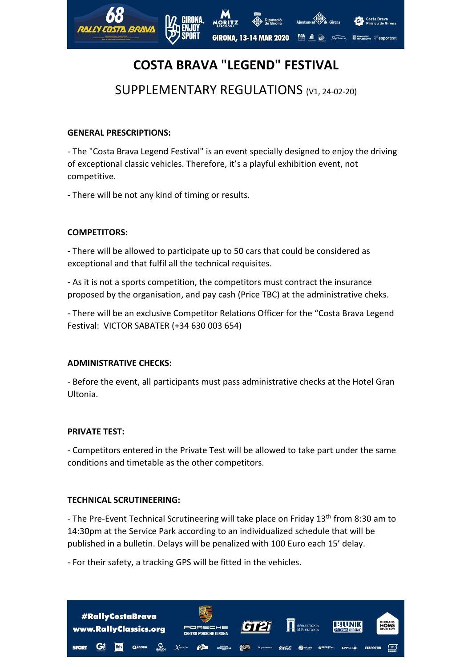

# **COSTA BRAVA "LEGEND" FESTIVAL**

# SUPPLEMENTARY REGULATIONS (V1, 24-02-20)

# **GENERAL PRESCRIPTIONS:**

- The "Costa Brava Legend Festival" is an event specially designed to enjoy the driving of exceptional classic vehicles. Therefore, it's a playful exhibition event, not competitive.

- There will be not any kind of timing or results.

# **COMPETITORS:**

- There will be allowed to participate up to 50 cars that could be considered as exceptional and that fulfil all the technical requisites.

- As it is not a sports competition, the competitors must contract the insurance proposed by the organisation, and pay cash (Price TBC) at the administrative cheks.

- There will be an exclusive Competitor Relations Officer for the "Costa Brava Legend Festival: VICTOR SABATER (+34 630 003 654)

# **ADMINISTRATIVE CHECKS:**

- Before the event, all participants must pass administrative checks at the Hotel Gran Ultonia.

#### **PRIVATE TEST:**

- Competitors entered in the Private Test will be allowed to take part under the same conditions and timetable as the other competitors.

#### **TECHNICAL SCRUTINEERING:**

- The Pre-Event Technical Scrutineering will take place on Friday 13<sup>th</sup> from 8:30 am to 14:30pm at the Service Park according to an individualized schedule that will be published in a bulletin. Delays will be penalized with 100 Euro each 15' delay.

- For their safety, a tracking GPS will be fitted in the vehicles.

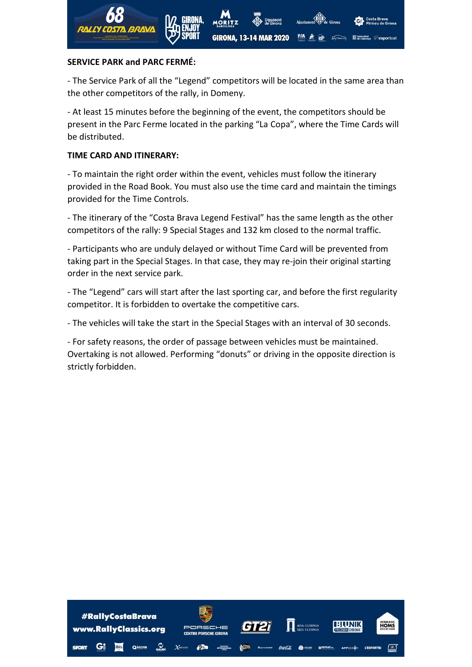

# **SERVICE PARK and PARC FERMÉ:**

- The Service Park of all the "Legend" competitors will be located in the same area than the other competitors of the rally, in Domeny.

- At least 15 minutes before the beginning of the event, the competitors should be present in the Parc Ferme located in the parking "La Copa", where the Time Cards will be distributed.

# **TIME CARD AND ITINERARY:**

- To maintain the right order within the event, vehicles must follow the itinerary provided in the Road Book. You must also use the time card and maintain the timings provided for the Time Controls.

- The itinerary of the "Costa Brava Legend Festival" has the same length as the other competitors of the rally: 9 Special Stages and 132 km closed to the normal traffic.

- Participants who are unduly delayed or without Time Card will be prevented from taking part in the Special Stages. In that case, they may re-join their original starting order in the next service park.

- The "Legend" cars will start after the last sporting car, and before the first regularity competitor. It is forbidden to overtake the competitive cars.

- The vehicles will take the start in the Special Stages with an interval of 30 seconds.

- For safety reasons, the order of passage between vehicles must be maintained. Overtaking is not allowed. Performing "donuts" or driving in the opposite direction is strictly forbidden.